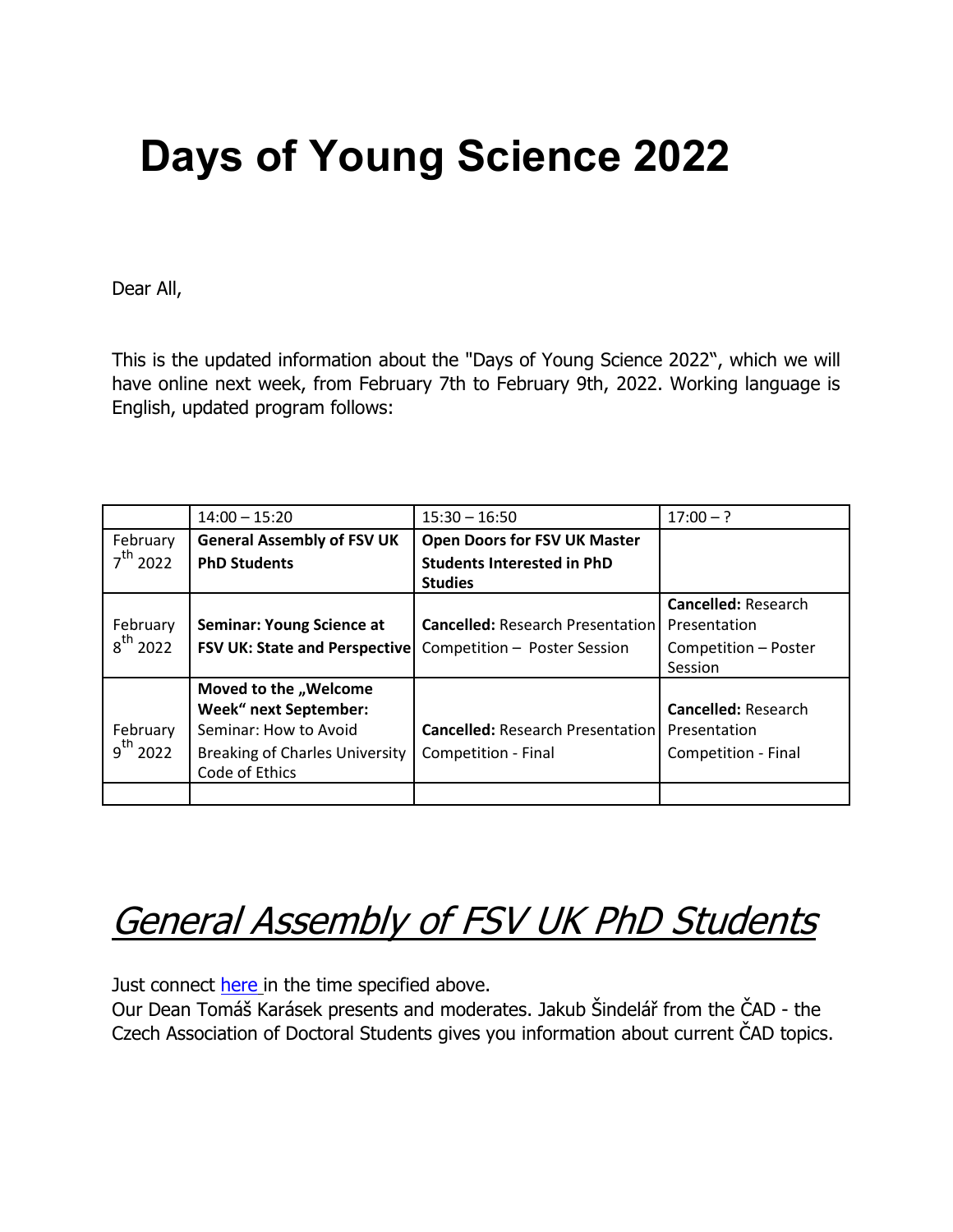# **Days of Young Science 2022**

Dear All,

This is the updated information about the "Days of Young Science 2022", which we will have online next week, from February 7th to February 9th, 2022. Working language is English, updated program follows:

|                      | $14:00 - 15:20$                       | $15:30 - 16:50$                         | $17:00 - ?$                |
|----------------------|---------------------------------------|-----------------------------------------|----------------------------|
| February             | <b>General Assembly of FSV UK</b>     | <b>Open Doors for FSV UK Master</b>     |                            |
| $7^{\text{th}}$ 2022 | <b>PhD Students</b>                   | <b>Students Interested in PhD</b>       |                            |
|                      |                                       | <b>Studies</b>                          |                            |
|                      |                                       |                                         | <b>Cancelled: Research</b> |
| February             | <b>Seminar: Young Science at</b>      | <b>Cancelled: Research Presentation</b> | Presentation               |
| $8^{th}$ 2022        | <b>FSV UK: State and Perspective</b>  | Competition - Poster Session            | Competition - Poster       |
|                      |                                       |                                         | Session                    |
|                      | Moved to the "Welcome                 |                                         |                            |
|                      | <b>Week" next September:</b>          |                                         | <b>Cancelled: Research</b> |
| February             | Seminar: How to Avoid                 | <b>Cancelled: Research Presentation</b> | Presentation               |
| $9^{th}$ 2022        | <b>Breaking of Charles University</b> | Competition - Final                     | Competition - Final        |
|                      | Code of Ethics                        |                                         |                            |
|                      |                                       |                                         |                            |

# **General Assembly of FSV UK PhD Students**

Just connect [here](https://cesnet.zoom.us/j/98336130308) in the time specified above.

Our Dean Tomáš Karásek presents and moderates. Jakub Šindelář from the ČAD - the Czech Association of Doctoral Students gives you information about current ČAD topics.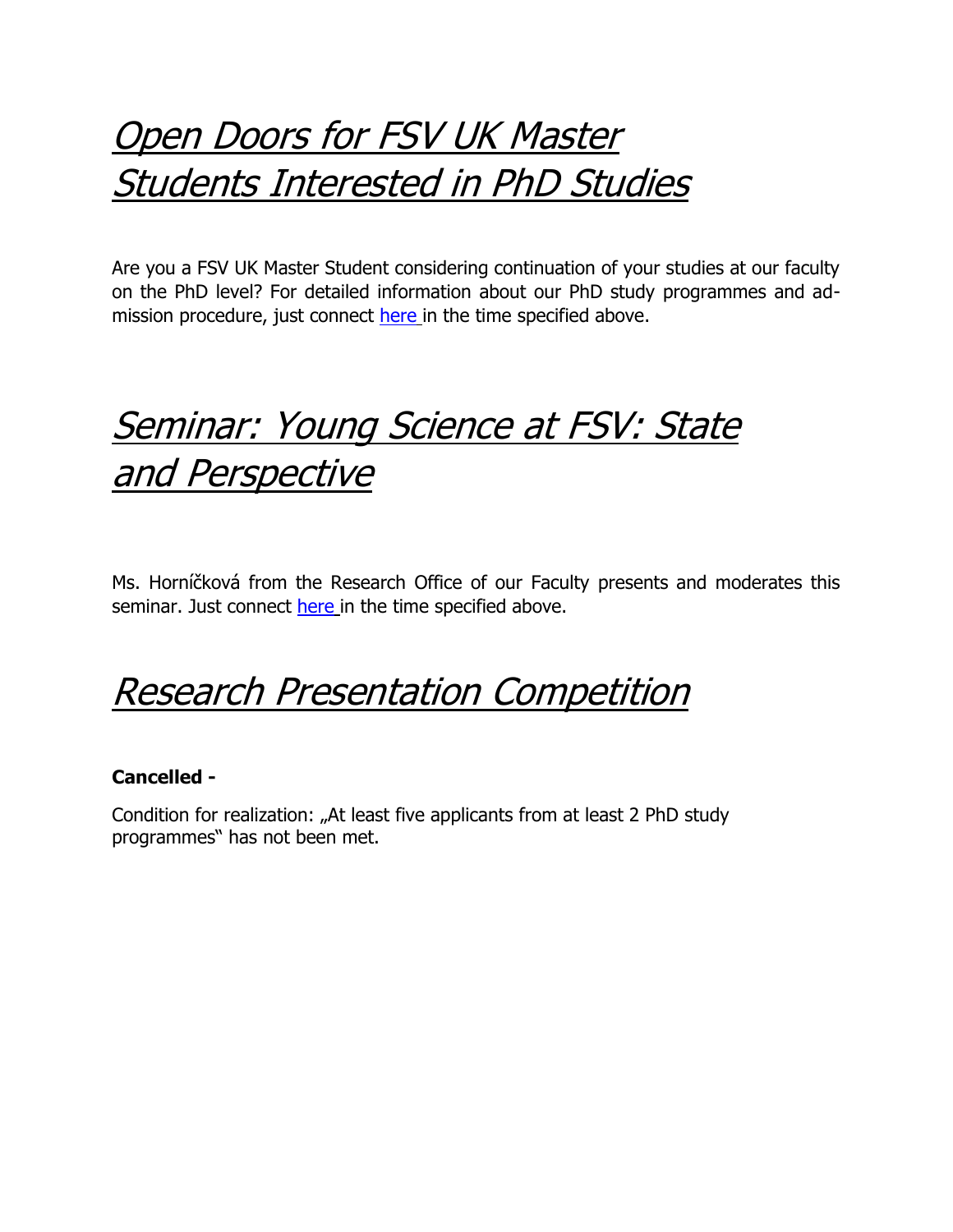### Open Doors for FSV UK Master Students Interested in PhD Studies

Are you a FSV UK Master Student considering continuation of your studies at our faculty on the PhD level? For detailed information about our PhD study programmes and admission procedure, just connect [here](https://cesnet.zoom.us/j/96041209726) in the time specified above.

### Seminar: Young Science at FSV: State and Perspective

Ms. Horníčková from the Research Office of our Faculty presents and moderates this seminar. Just connect [here](https://cesnet.zoom.us/j/98105786742) in the time specified above.

Research Presentation Competition

#### **Cancelled -**

Condition for realization: "At least five applicants from at least 2 PhD study programmes" has not been met.